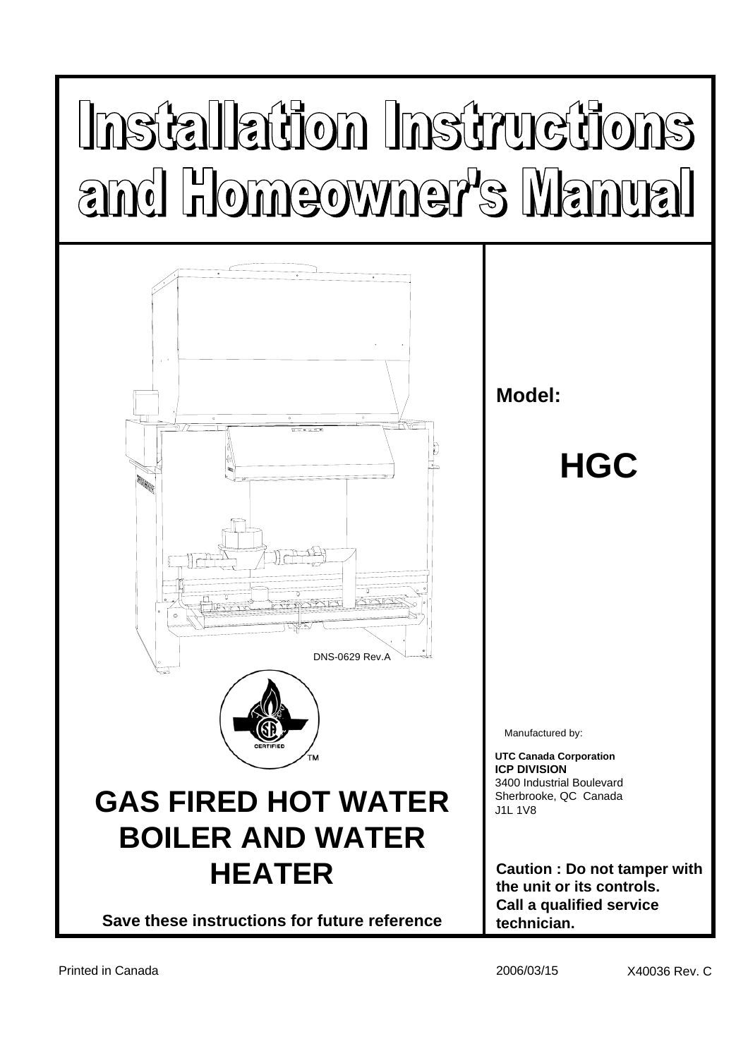# Installation Instructions and Homeowner's Manual

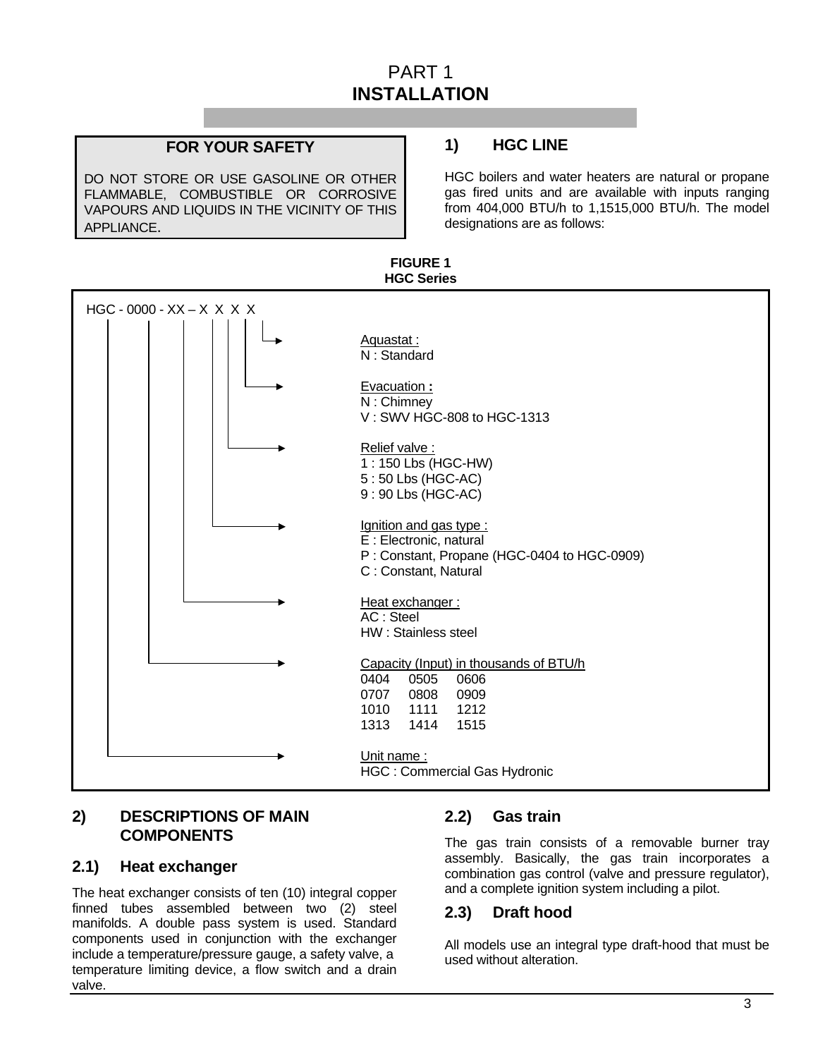# PART 1 **INSTALLATION**

**FIGURE 1** 

#### **FOR YOUR SAFETY**

DO NOT STORE OR USE GASOLINE OR OTHER FLAMMABLE, COMBUSTIBLE OR CORROSIVE VAPOURS AND LIQUIDS IN THE VICINITY OF THIS APPLIANCE.

# **1) HGC LINE**

HGC boilers and water heaters are natural or propane gas fired units and are available with inputs ranging from 404,000 BTU/h to 1,1515,000 BTU/h. The model designations are as follows:



#### **2) DESCRIPTIONS OF MAIN COMPONENTS**

#### **2.1) Heat exchanger**

The heat exchanger consists of ten (10) integral copper finned tubes assembled between two (2) steel manifolds. A double pass system is used. Standard components used in conjunction with the exchanger include a temperature/pressure gauge, a safety valve, a temperature limiting device, a flow switch and a drain valve.

#### **2.2) Gas train**

The gas train consists of a removable burner tray assembly. Basically, the gas train incorporates a combination gas control (valve and pressure regulator), and a complete ignition system including a pilot.

#### **2.3) Draft hood**

All models use an integral type draft-hood that must be used without alteration.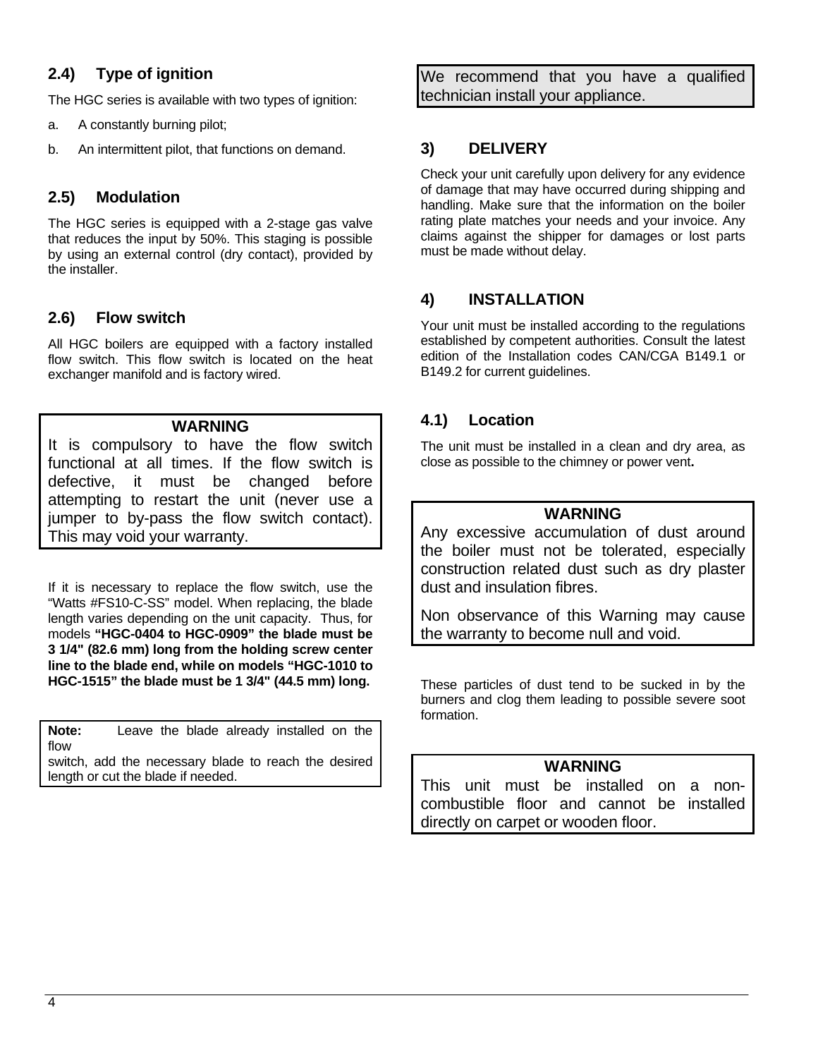# **2.4) Type of ignition**

The HGC series is available with two types of ignition:

- a. A constantly burning pilot;
- b. An intermittent pilot, that functions on demand.

# **2.5) Modulation**

The HGC series is equipped with a 2-stage gas valve that reduces the input by 50%. This staging is possible by using an external control (dry contact), provided by the installer.

# **2.6) Flow switch**

All HGC boilers are equipped with a factory installed flow switch. This flow switch is located on the heat exchanger manifold and is factory wired.

#### **WARNING**

It is compulsory to have the flow switch functional at all times. If the flow switch is defective, it must be changed before attempting to restart the unit (never use a jumper to by-pass the flow switch contact). This may void your warranty.

If it is necessary to replace the flow switch, use the "Watts #FS10-C-SS" model. When replacing, the blade length varies depending on the unit capacity. Thus, for models **"HGC-0404 to HGC-0909" the blade must be 3 1/4" (82.6 mm) long from the holding screw center line to the blade end, while on models "HGC-1010 to HGC-1515" the blade must be 1 3/4" (44.5 mm) long.** 

**Note:** Leave the blade already installed on the flow switch, add the necessary blade to reach the desired length or cut the blade if needed.

We recommend that you have a qualified technician install your appliance.

# **3) DELIVERY**

Check your unit carefully upon delivery for any evidence of damage that may have occurred during shipping and handling. Make sure that the information on the boiler rating plate matches your needs and your invoice. Any claims against the shipper for damages or lost parts must be made without delay.

# **4) INSTALLATION**

Your unit must be installed according to the regulations established by competent authorities. Consult the latest edition of the Installation codes CAN/CGA B149.1 or B149.2 for current guidelines.

# **4.1) Location**

The unit must be installed in a clean and dry area, as close as possible to the chimney or power vent**.** 

#### **WARNING**

Any excessive accumulation of dust around the boiler must not be tolerated, especially construction related dust such as dry plaster dust and insulation fibres.

Non observance of this Warning may cause the warranty to become null and void.

These particles of dust tend to be sucked in by the burners and clog them leading to possible severe soot formation.

#### **WARNING**

This unit must be installed on a noncombustible floor and cannot be installed directly on carpet or wooden floor.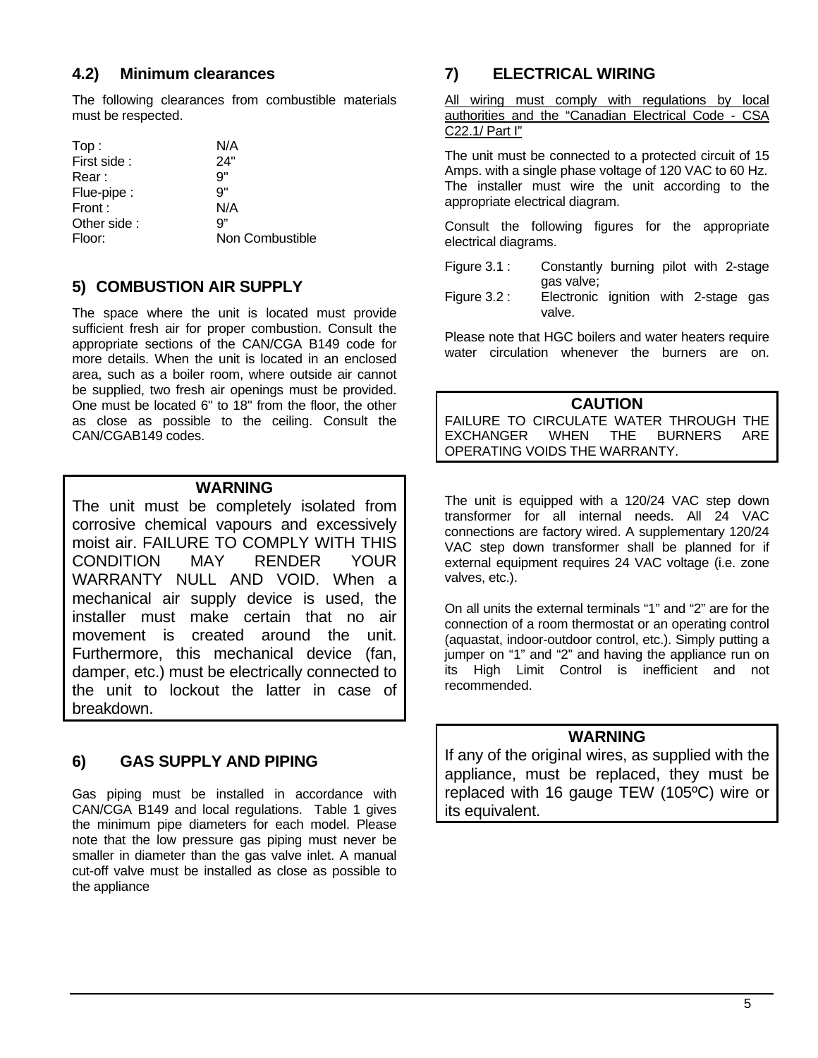#### **4.2) Minimum clearances**

The following clearances from combustible materials must be respected.

| Top:        | N/A             |
|-------------|-----------------|
| First side: | 24"             |
| Rear :      | 9"              |
| Flue-pipe : | 9"              |
| Front:      | N/A             |
| Other side: | q"              |
| Floor:      | Non Combustible |

# **5) COMBUSTION AIR SUPPLY**

The space where the unit is located must provide sufficient fresh air for proper combustion. Consult the appropriate sections of the CAN/CGA B149 code for more details. When the unit is located in an enclosed area, such as a boiler room, where outside air cannot be supplied, two fresh air openings must be provided. One must be located 6" to 18" from the floor, the other as close as possible to the ceiling. Consult the CAN/CGAB149 codes.

#### **WARNING**

The unit must be completely isolated from corrosive chemical vapours and excessively moist air. FAILURE TO COMPLY WITH THIS CONDITION MAY RENDER YOUR WARRANTY NULL AND VOID. When a mechanical air supply device is used, the installer must make certain that no air movement is created around the unit. Furthermore, this mechanical device (fan, damper, etc.) must be electrically connected to the unit to lockout the latter in case of breakdown.

# **6) GAS SUPPLY AND PIPING**

Gas piping must be installed in accordance with CAN/CGA B149 and local regulations. Table 1 gives the minimum pipe diameters for each model. Please note that the low pressure gas piping must never be smaller in diameter than the gas valve inlet. A manual cut-off valve must be installed as close as possible to the appliance

# **7) ELECTRICAL WIRING**

All wiring must comply with regulations by local authorities and the "Canadian Electrical Code - CSA C22.1/ Part I"

The unit must be connected to a protected circuit of 15 Amps. with a single phase voltage of 120 VAC to 60 Hz. The installer must wire the unit according to the appropriate electrical diagram.

Consult the following figures for the appropriate electrical diagrams.

- Figure 3.1 : Constantly burning pilot with 2-stage gas valve;
- Figure 3.2 : Electronic ignition with 2-stage gas valve.

Please note that HGC boilers and water heaters require water circulation whenever the burners are on.

#### **CAUTION**

FAILURE TO CIRCULATE WATER THROUGH THE EXCHANGER WHEN THE BURNERS ARE OPERATING VOIDS THE WARRANTY.

The unit is equipped with a 120/24 VAC step down transformer for all internal needs. All 24 VAC connections are factory wired. A supplementary 120/24 VAC step down transformer shall be planned for if external equipment requires 24 VAC voltage (i.e. zone valves, etc.).

On all units the external terminals "1" and "2" are for the connection of a room thermostat or an operating control (aquastat, indoor-outdoor control, etc.). Simply putting a jumper on "1" and "2" and having the appliance run on its High Limit Control is inefficient and not recommended.

#### **WARNING**

If any of the original wires, as supplied with the appliance, must be replaced, they must be replaced with 16 gauge TEW (105ºC) wire or its equivalent.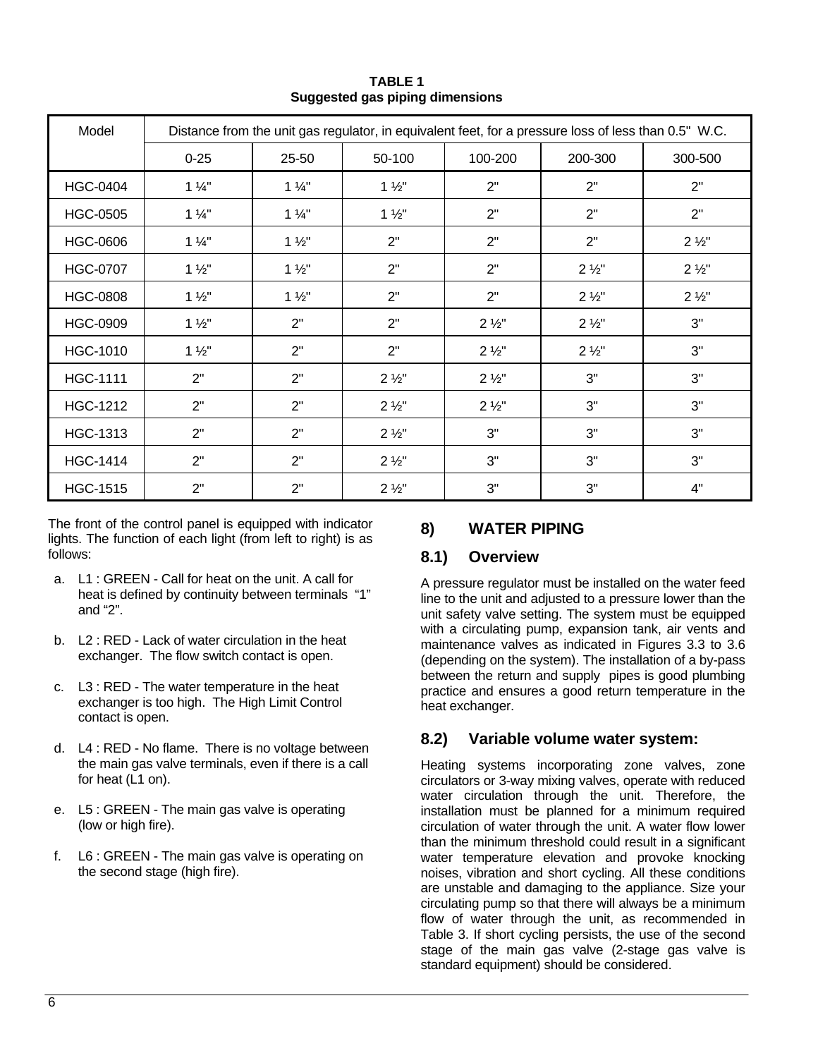| Model           | Distance from the unit gas regulator, in equivalent feet, for a pressure loss of less than 0.5" W.C. |                |                  |                  |                  |                  |  |  |  |
|-----------------|------------------------------------------------------------------------------------------------------|----------------|------------------|------------------|------------------|------------------|--|--|--|
|                 | $0 - 25$                                                                                             | 25-50          | 50-100           | 100-200          | 200-300          | 300-500          |  |  |  |
| <b>HGC-0404</b> | $1\frac{1}{4}$                                                                                       | $1\frac{1}{4}$ | $1\frac{1}{2}$   | 2"               | 2"               | 2"               |  |  |  |
| <b>HGC-0505</b> | $1\frac{1}{4}$                                                                                       | $1\frac{1}{4}$ | $1\frac{1}{2}$   | 2"               | 2"               | 2"               |  |  |  |
| <b>HGC-0606</b> | $1\frac{1}{4}$                                                                                       | $1\frac{1}{2}$ | 2"               | 2"               | 2"               | $2\frac{1}{2}$ " |  |  |  |
| <b>HGC-0707</b> | $1\frac{1}{2}$                                                                                       | $1\frac{1}{2}$ | 2"               | 2"               | $2\frac{1}{2}$   | $2\frac{1}{2}$ " |  |  |  |
| <b>HGC-0808</b> | $1\frac{1}{2}$                                                                                       | $1\frac{1}{2}$ | 2"               | 2"               | $2\frac{1}{2}$ " | $2\frac{1}{2}$ " |  |  |  |
| <b>HGC-0909</b> | $1\frac{1}{2}$                                                                                       | 2"             | 2"               | $2\frac{1}{2}$   | $2\frac{1}{2}$   | 3"               |  |  |  |
| <b>HGC-1010</b> | $1\frac{1}{2}$                                                                                       | 2"             | 2"               | $2\frac{1}{2}$ " | $2\frac{1}{2}$ " | 3"               |  |  |  |
| <b>HGC-1111</b> | 2"                                                                                                   | 2"             | $2\frac{1}{2}$   | $2\frac{1}{2}$ " | 3"               | 3"               |  |  |  |
| <b>HGC-1212</b> | 2"                                                                                                   | 2"             | $2\frac{1}{2}$ " | $2\frac{1}{2}$ " | 3"               | 3"               |  |  |  |
| <b>HGC-1313</b> | 2"                                                                                                   | 2"             | $2\frac{1}{2}$   | 3"               | 3"               | 3"               |  |  |  |
| <b>HGC-1414</b> | 2"                                                                                                   | 2"             | $2\frac{1}{2}$ " | 3"               | 3"               | 3"               |  |  |  |
| <b>HGC-1515</b> | 2"                                                                                                   | 2"             | $2\frac{1}{2}$   | 3"               | 3"               | 4"               |  |  |  |

**TABLE 1 Suggested gas piping dimensions** 

The front of the control panel is equipped with indicator lights. The function of each light (from left to right) is as follows:

- a. L1 : GREEN Call for heat on the unit. A call for heat is defined by continuity between terminals "1" and "2".
- b. L2 : RED Lack of water circulation in the heat exchanger. The flow switch contact is open.
- c. L3 : RED The water temperature in the heat exchanger is too high. The High Limit Control contact is open.
- d. L4 : RED No flame. There is no voltage between the main gas valve terminals, even if there is a call for heat (L1 on).
- e. L5 : GREEN The main gas valve is operating (low or high fire).
- f. L6 : GREEN The main gas valve is operating on the second stage (high fire).

# **8) WATER PIPING**

#### **8.1) Overview**

A pressure regulator must be installed on the water feed line to the unit and adjusted to a pressure lower than the unit safety valve setting. The system must be equipped with a circulating pump, expansion tank, air vents and maintenance valves as indicated in Figures 3.3 to 3.6 (depending on the system). The installation of a by-pass between the return and supply pipes is good plumbing practice and ensures a good return temperature in the heat exchanger.

# **8.2) Variable volume water system:**

Heating systems incorporating zone valves, zone circulators or 3-way mixing valves, operate with reduced water circulation through the unit. Therefore, the installation must be planned for a minimum required circulation of water through the unit. A water flow lower than the minimum threshold could result in a significant water temperature elevation and provoke knocking noises, vibration and short cycling. All these conditions are unstable and damaging to the appliance. Size your circulating pump so that there will always be a minimum flow of water through the unit, as recommended in Table 3. If short cycling persists, the use of the second stage of the main gas valve (2-stage gas valve is standard equipment) should be considered.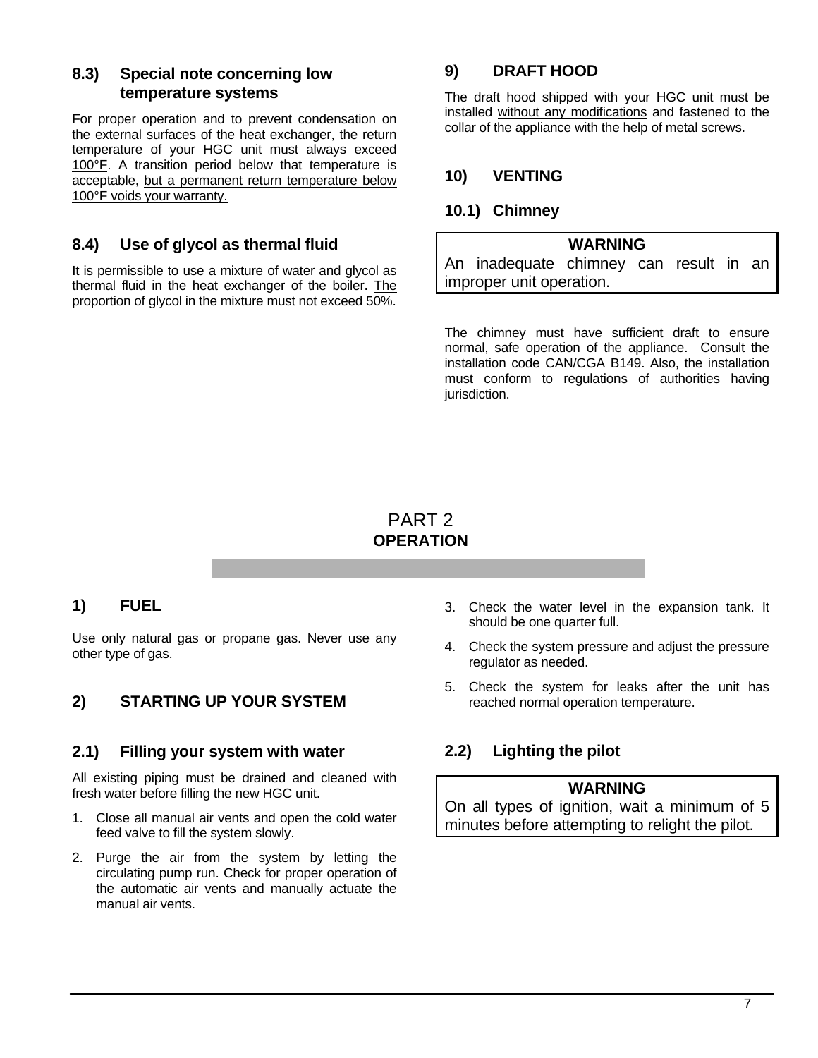#### **8.3) Special note concerning low temperature systems**

For proper operation and to prevent condensation on the external surfaces of the heat exchanger, the return temperature of your HGC unit must always exceed 100°F. A transition period below that temperature is acceptable, but a permanent return temperature below 100°F voids your warranty.

# **8.4) Use of glycol as thermal fluid**

It is permissible to use a mixture of water and glycol as thermal fluid in the heat exchanger of the boiler. The proportion of glycol in the mixture must not exceed 50%.

# **9) DRAFT HOOD**

The draft hood shipped with your HGC unit must be installed without any modifications and fastened to the collar of the appliance with the help of metal screws.

# **10) VENTING**

#### **10.1) Chimney**

#### **WARNING**

An inadequate chimney can result in an improper unit operation.

The chimney must have sufficient draft to ensure normal, safe operation of the appliance. Consult the installation code CAN/CGA B149. Also, the installation must conform to regulations of authorities having jurisdiction.

# PART 2 **OPERATION**

#### **1) FUEL**

Use only natural gas or propane gas. Never use any other type of gas.

# **2) STARTING UP YOUR SYSTEM**

#### **2.1) Filling your system with water**

All existing piping must be drained and cleaned with fresh water before filling the new HGC unit.

- 1. Close all manual air vents and open the cold water feed valve to fill the system slowly.
- 2. Purge the air from the system by letting the circulating pump run. Check for proper operation of the automatic air vents and manually actuate the manual air vents.
- 3. Check the water level in the expansion tank. It should be one quarter full.
- 4. Check the system pressure and adjust the pressure regulator as needed.
- 5. Check the system for leaks after the unit has reached normal operation temperature.

# **2.2) Lighting the pilot**

#### **WARNING**

On all types of ignition, wait a minimum of 5 minutes before attempting to relight the pilot.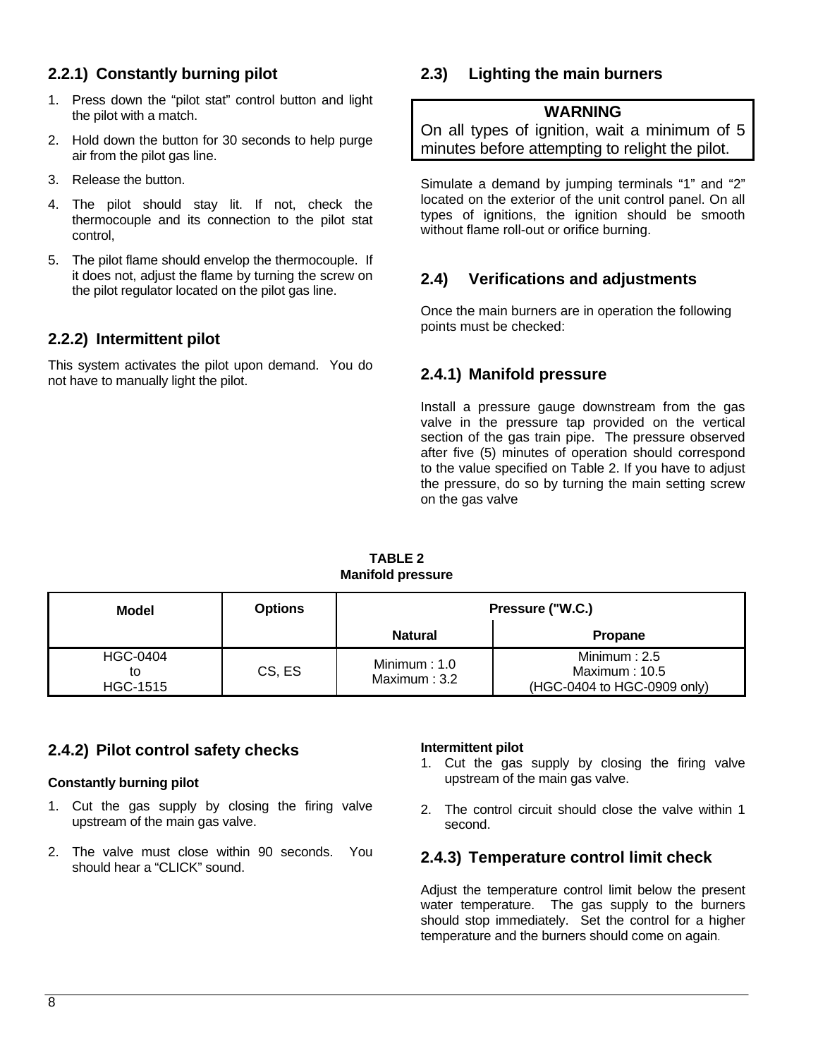# **2.2.1) Constantly burning pilot**

- 1. Press down the "pilot stat" control button and light the pilot with a match.
- 2. Hold down the button for 30 seconds to help purge air from the pilot gas line.
- 3. Release the button.
- 4. The pilot should stay lit. If not, check the thermocouple and its connection to the pilot stat control,
- 5. The pilot flame should envelop the thermocouple. If it does not, adjust the flame by turning the screw on the pilot regulator located on the pilot gas line.

# **2.2.2) Intermittent pilot**

This system activates the pilot upon demand. You do not have to manually light the pilot.

# **2.3) Lighting the main burners**

#### **WARNING**

On all types of ignition, wait a minimum of 5 minutes before attempting to relight the pilot.

Simulate a demand by jumping terminals "1" and "2" located on the exterior of the unit control panel. On all types of ignitions, the ignition should be smooth without flame roll-out or orifice burning.

# **2.4) Verifications and adjustments**

Once the main burners are in operation the following points must be checked:

# **2.4.1) Manifold pressure**

Install a pressure gauge downstream from the gas valve in the pressure tap provided on the vertical section of the gas train pipe. The pressure observed after five (5) minutes of operation should correspond to the value specified on Table 2. If you have to adjust the pressure, do so by turning the main setting screw on the gas valve

| Model                                    | <b>Options</b> | Pressure ("W.C.)                  |                                                                 |  |  |  |
|------------------------------------------|----------------|-----------------------------------|-----------------------------------------------------------------|--|--|--|
|                                          |                | <b>Natural</b>                    | <b>Propane</b>                                                  |  |  |  |
| <b>HGC-0404</b><br>to<br><b>HGC-1515</b> | CS, ES         | Minimum : $1.0$<br>Maximum: $3.2$ | Minimum $: 2.5$<br>Maximum: 10.5<br>(HGC-0404 to HGC-0909 only) |  |  |  |

**TABLE 2 Manifold pressure** 

#### **2.4.2) Pilot control safety checks**

#### **Constantly burning pilot**

- 1. Cut the gas supply by closing the firing valve upstream of the main gas valve.
- 2. The valve must close within 90 seconds. You should hear a "CLICK" sound.

#### **Intermittent pilot**

- 1. Cut the gas supply by closing the firing valve upstream of the main gas valve.
- 2. The control circuit should close the valve within 1 second.

#### **2.4.3) Temperature control limit check**

Adjust the temperature control limit below the present water temperature. The gas supply to the burners should stop immediately. Set the control for a higher temperature and the burners should come on again.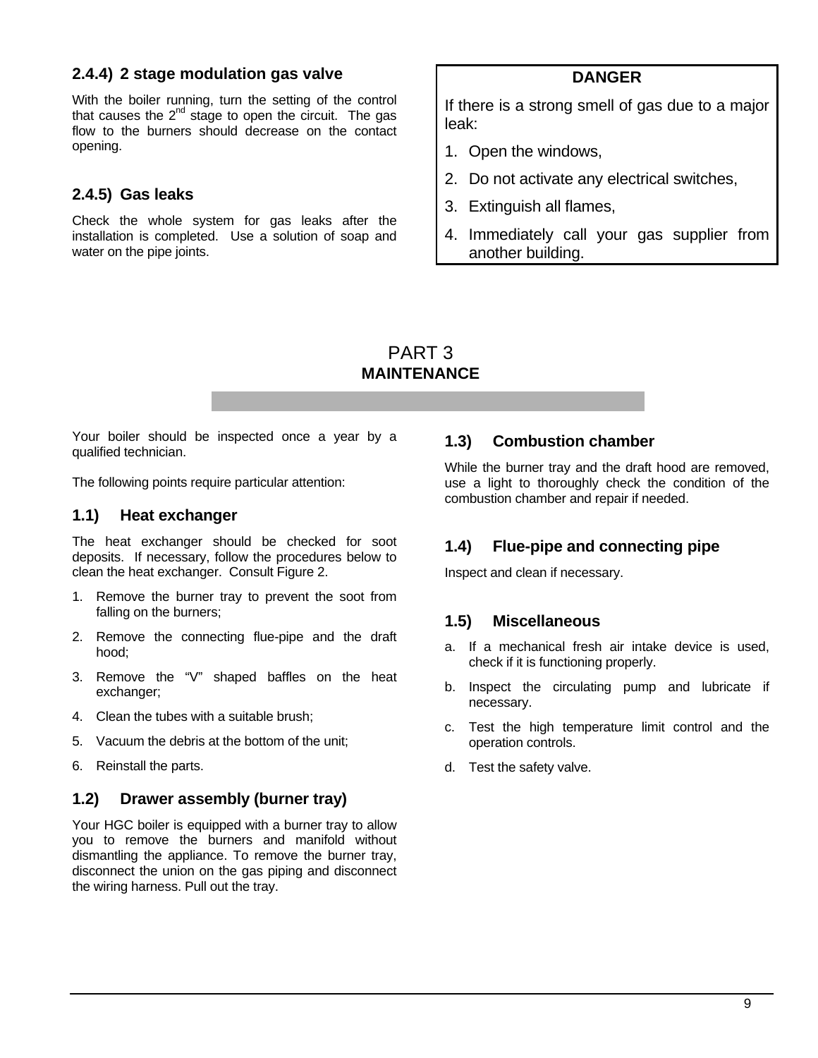#### **2.4.4) 2 stage modulation gas valve**

With the boiler running, turn the setting of the control that causes the  $2^{nd}$  stage to open the circuit. The gas flow to the burners should decrease on the contact opening.

#### **2.4.5) Gas leaks**

Check the whole system for gas leaks after the installation is completed. Use a solution of soap and water on the pipe joints.

#### **DANGER**

If there is a strong smell of gas due to a major leak:

- 1. Open the windows,
- 2. Do not activate any electrical switches,
- 3. Extinguish all flames,
- 4. Immediately call your gas supplier from another building.

#### PART 3 **MAINTENANCE**

Your boiler should be inspected once a year by a qualified technician.

The following points require particular attention:

#### **1.1) Heat exchanger**

The heat exchanger should be checked for soot deposits. If necessary, follow the procedures below to clean the heat exchanger. Consult Figure 2.

- 1. Remove the burner tray to prevent the soot from falling on the burners;
- 2. Remove the connecting flue-pipe and the draft hood;
- 3. Remove the "V" shaped baffles on the heat exchanger;
- 4. Clean the tubes with a suitable brush;
- 5. Vacuum the debris at the bottom of the unit;
- 6. Reinstall the parts.

#### **1.2) Drawer assembly (burner tray)**

Your HGC boiler is equipped with a burner tray to allow you to remove the burners and manifold without dismantling the appliance. To remove the burner tray, disconnect the union on the gas piping and disconnect the wiring harness. Pull out the tray.

#### **1.3) Combustion chamber**

While the burner tray and the draft hood are removed, use a light to thoroughly check the condition of the combustion chamber and repair if needed.

#### **1.4) Flue-pipe and connecting pipe**

Inspect and clean if necessary.

#### **1.5) Miscellaneous**

- a. If a mechanical fresh air intake device is used, check if it is functioning properly.
- b. Inspect the circulating pump and lubricate if necessary.
- c. Test the high temperature limit control and the operation controls.
- d. Test the safety valve.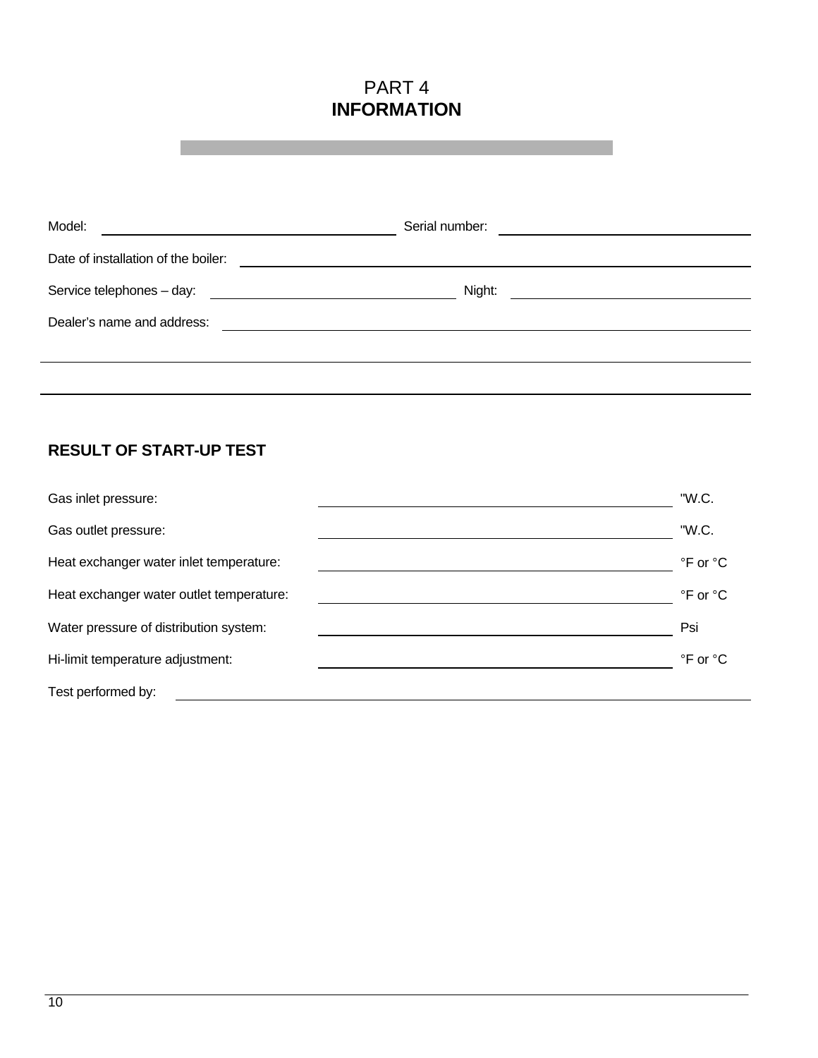# PART 4 **INFORMATION**

| Model:                              | Serial number:                                         |
|-------------------------------------|--------------------------------------------------------|
| Date of installation of the boiler: |                                                        |
| Service telephones - day:           | Night:<br><u> 1989 - Andrea Andrew Maria (b. 1989)</u> |
| Dealer's name and address:          |                                                        |
|                                     |                                                        |
|                                     |                                                        |

# **RESULT OF START-UP TEST**

| Gas inlet pressure:                      | "W.C.                      |
|------------------------------------------|----------------------------|
| Gas outlet pressure:                     | "W.C.                      |
| Heat exchanger water inlet temperature:  | °F or °C                   |
| Heat exchanger water outlet temperature: | °F or °C                   |
| Water pressure of distribution system:   | Psi                        |
| Hi-limit temperature adjustment:         | $\degree$ F or $\degree$ C |
| Test performed by:                       |                            |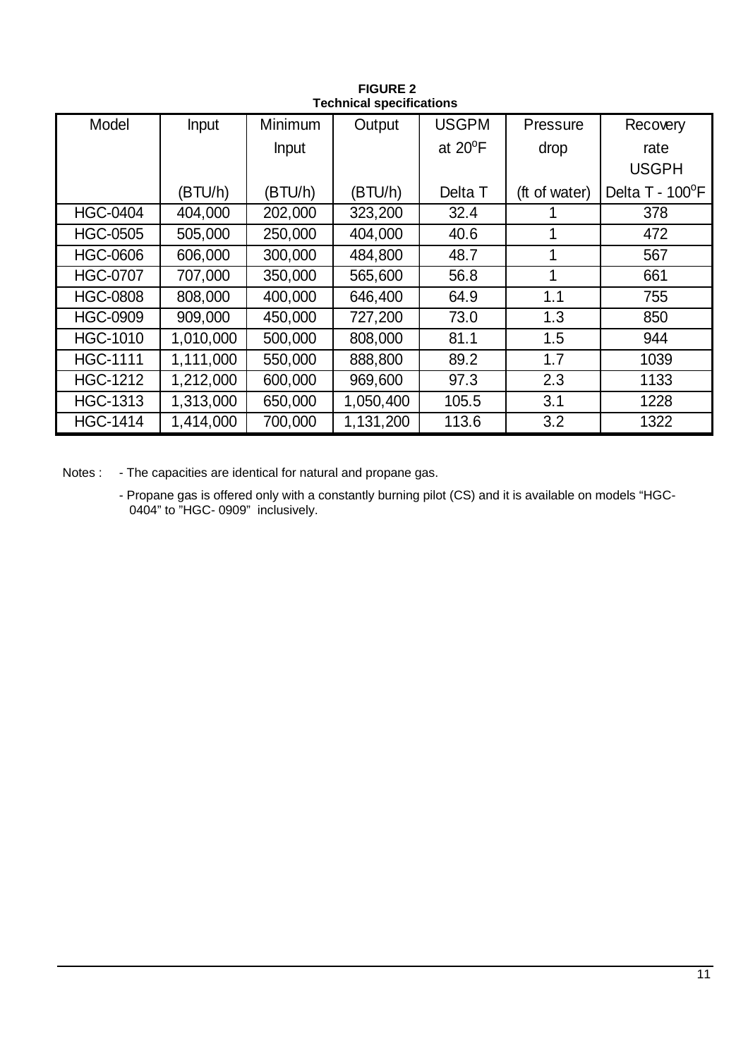| Model           | Input     | Minimum      | Output    | <b>USGPM</b>     | Pressure      | Recovery        |  |  |
|-----------------|-----------|--------------|-----------|------------------|---------------|-----------------|--|--|
|                 |           | <b>Input</b> |           | at $20^{\circ}F$ | drop          | rate            |  |  |
|                 |           |              |           |                  |               | <b>USGPH</b>    |  |  |
|                 | (BTU/h)   | (BTU/h)      | (BTU/h)   | Delta T          | (ft of water) | Delta T - 100°F |  |  |
| <b>HGC-0404</b> | 404,000   | 202,000      | 323,200   | 32.4             |               | 378             |  |  |
| <b>HGC-0505</b> | 505,000   | 250,000      | 404,000   | 40.6             |               | 472             |  |  |
| <b>HGC-0606</b> | 606,000   | 300,000      | 484,800   | 48.7             |               | 567             |  |  |
| <b>HGC-0707</b> | 707,000   | 350,000      | 565,600   | 56.8             | 1             | 661             |  |  |
| <b>HGC-0808</b> | 808,000   | 400,000      | 646,400   | 64.9             | 1.1           | 755             |  |  |
| <b>HGC-0909</b> | 909,000   | 450,000      | 727,200   | 73.0             | 1.3           | 850             |  |  |
| <b>HGC-1010</b> | 1,010,000 | 500,000      | 808,000   | 81.1             | 1.5           | 944             |  |  |
| <b>HGC-1111</b> | 1,111,000 | 550,000      | 888,800   | 89.2             | 1.7           | 1039            |  |  |
| <b>HGC-1212</b> | 1,212,000 | 600,000      | 969,600   | 97.3             | 2.3           | 1133            |  |  |
| <b>HGC-1313</b> | 1,313,000 | 650,000      | 1,050,400 | 105.5            | 3.1           | 1228            |  |  |
| <b>HGC-1414</b> | 1,414,000 | 700,000      | 1,131,200 | 113.6            | 3.2           | 1322            |  |  |

**FIGURE 2 Technical specifications**

Notes : - The capacities are identical for natural and propane gas.

- Propane gas is offered only with a constantly burning pilot (CS) and it is available on models "HGC-0404" to "HGC- 0909" inclusively.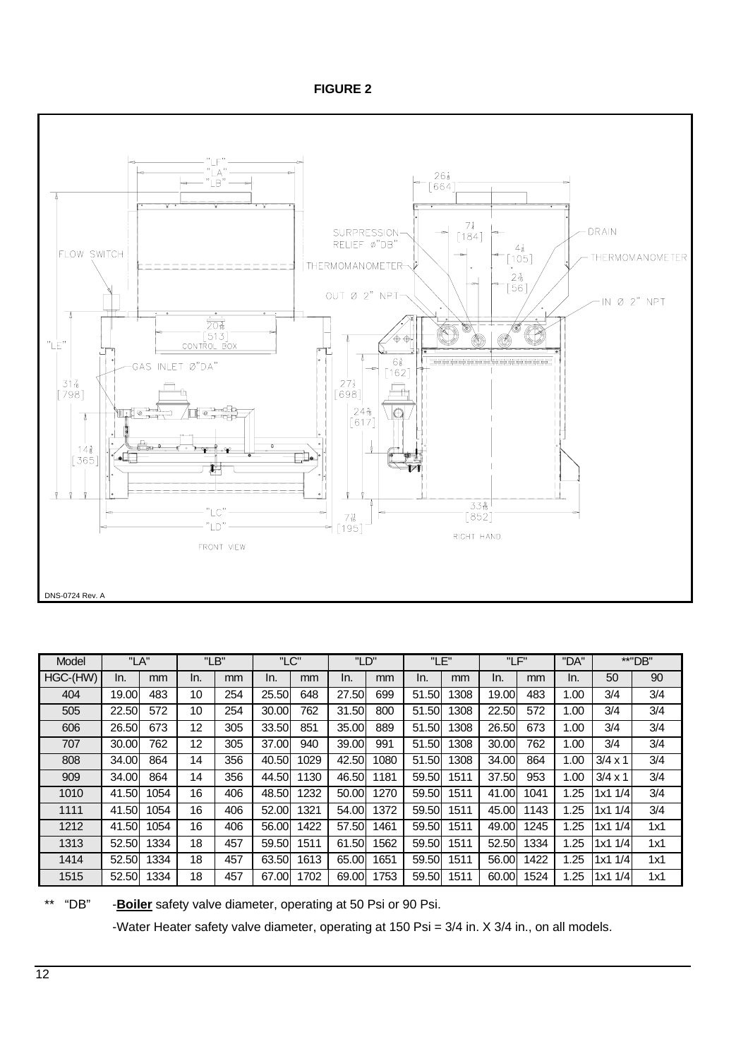**FIGURE 2**



| Model    | "LA"  |      |     | "LB" | "LC"  |      | "LD"  |      | "LE"  |      | "LF"   |      | "DA" |                | **"DB" |
|----------|-------|------|-----|------|-------|------|-------|------|-------|------|--------|------|------|----------------|--------|
| HGC-(HW) | In.   | mm   | In. | mm   | In.   | mm   | In.   | mm   | In.   | mm   | In.    | mm   | In.  | 50             | 90     |
| 404      | 19.00 | 483  | 10  | 254  | 25.50 | 648  | 27.50 | 699  | 51.50 | 1308 | 19.00l | 483  | 1.00 | 3/4            | 3/4    |
| 505      | 22.50 | 572  | 10  | 254  | 30.00 | 762  | 31.50 | 800  | 51.50 | 1308 | 22.50  | 572  | 1.00 | 3/4            | 3/4    |
| 606      | 26.50 | 673  | 12  | 305  | 33.50 | 851  | 35.00 | 889  | 51.50 | 1308 | 26.50  | 673  | 1.00 | 3/4            | 3/4    |
| 707      | 30.00 | 762  | 12  | 305  | 37.00 | 940  | 39.00 | 991  | 51.50 | 1308 | 30.00  | 762  | 1.00 | 3/4            | 3/4    |
| 808      | 34.00 | 864  | 14  | 356  | 40.50 | 1029 | 42.50 | 1080 | 51.50 | 1308 | 34.00  | 864  | 1.00 | $3/4 \times 1$ | 3/4    |
| 909      | 34.00 | 864  | 14  | 356  | 44.50 | 1130 | 46.50 | 1181 | 59.50 | 1511 | 37.50  | 953  | 1.00 | $3/4 \times 1$ | 3/4    |
| 1010     | 41.50 | 1054 | 16  | 406  | 48.50 | 1232 | 50.00 | 1270 | 59.50 | 1511 | 41.00  | 1041 | 1.25 | 1/4<br>1x1     | 3/4    |
| 1111     | 41.50 | 1054 | 16  | 406  | 52.00 | 1321 | 54.00 | 1372 | 59.50 | 1511 | 45.00  | 143  | 1.25 | 1/4<br>1x1.    | 3/4    |
| 1212     | 41.50 | 1054 | 16  | 406  | 56.00 | 1422 | 57.50 | 1461 | 59.50 | 1511 | 49.00  | 1245 | 1.25 | 1x11/4         | 1x1    |
| 1313     | 52.50 | 1334 | 18  | 457  | 59.50 | 1511 | 61.50 | 1562 | 59.50 | 1511 | 52.50  | 1334 | 1.25 | 1/4<br>1x1.    | 1x1    |
| 1414     | 52.50 | 1334 | 18  | 457  | 63.50 | 1613 | 65.00 | 1651 | 59.50 | 1511 | 56.00  | 1422 | 1.25 | 1/4<br>1x1.    | 1x1    |
| 1515     | 52.50 | 1334 | 18  | 457  | 67.00 | 1702 | 69.00 | 1753 | 59.50 | 1511 | 60.00  | 1524 | .25  | 1/4<br>1x1.    | 1x1    |

\*\* "DB" -**Boiler** safety valve diameter, operating at 50 Psi or 90 Psi.

-Water Heater safety valve diameter, operating at 150 Psi = 3/4 in. X 3/4 in., on all models.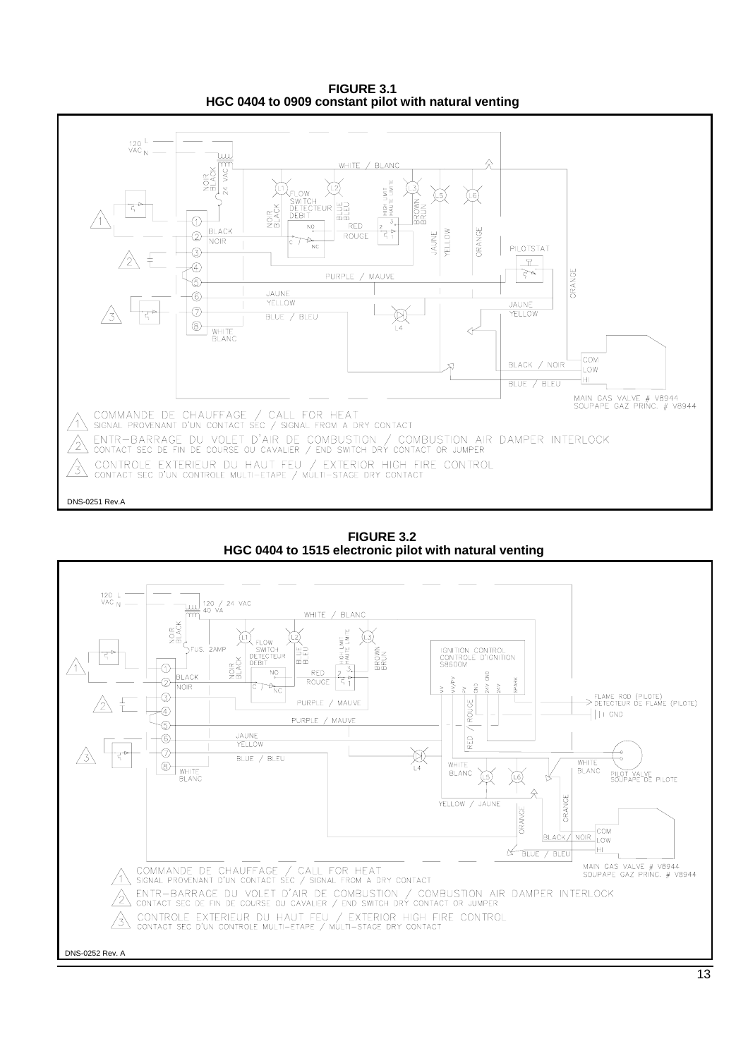**FIGURE 3.1 HGC 0404 to 0909 constant pilot with natural venting**



**FIGURE 3.2 HGC 0404 to 1515 electronic pilot with natural venting**

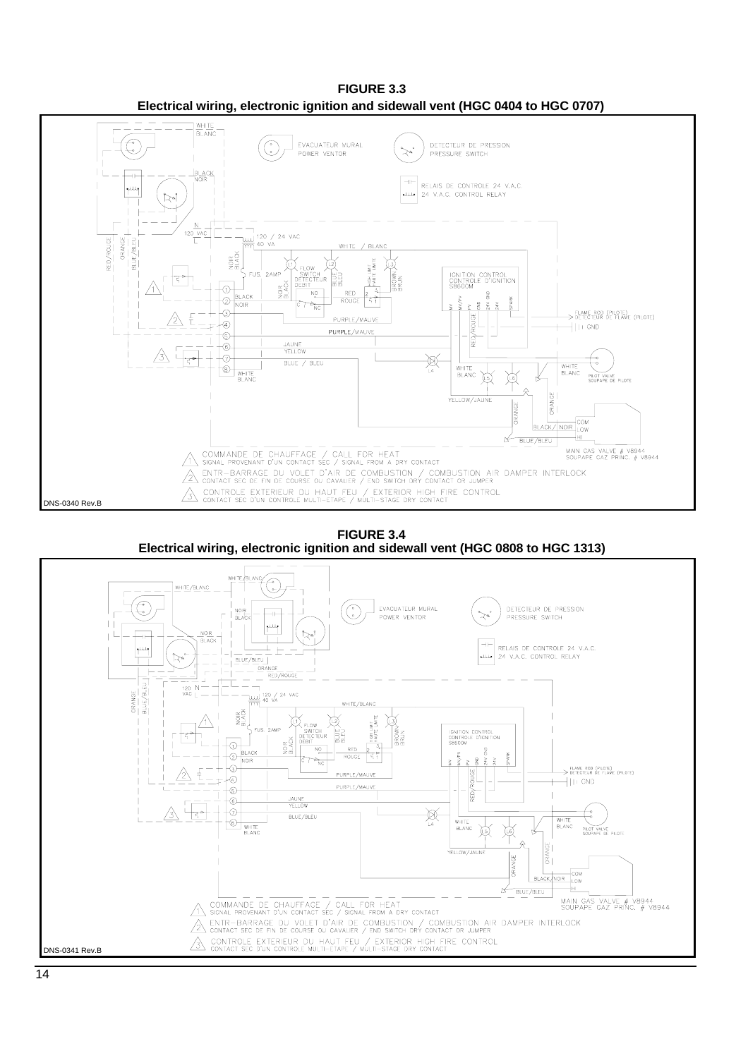**FIGURE 3.3 Electrical wiring, electronic ignition and sidewall vent (HGC 0404 to HGC 0707)**



**FIGURE 3.4**



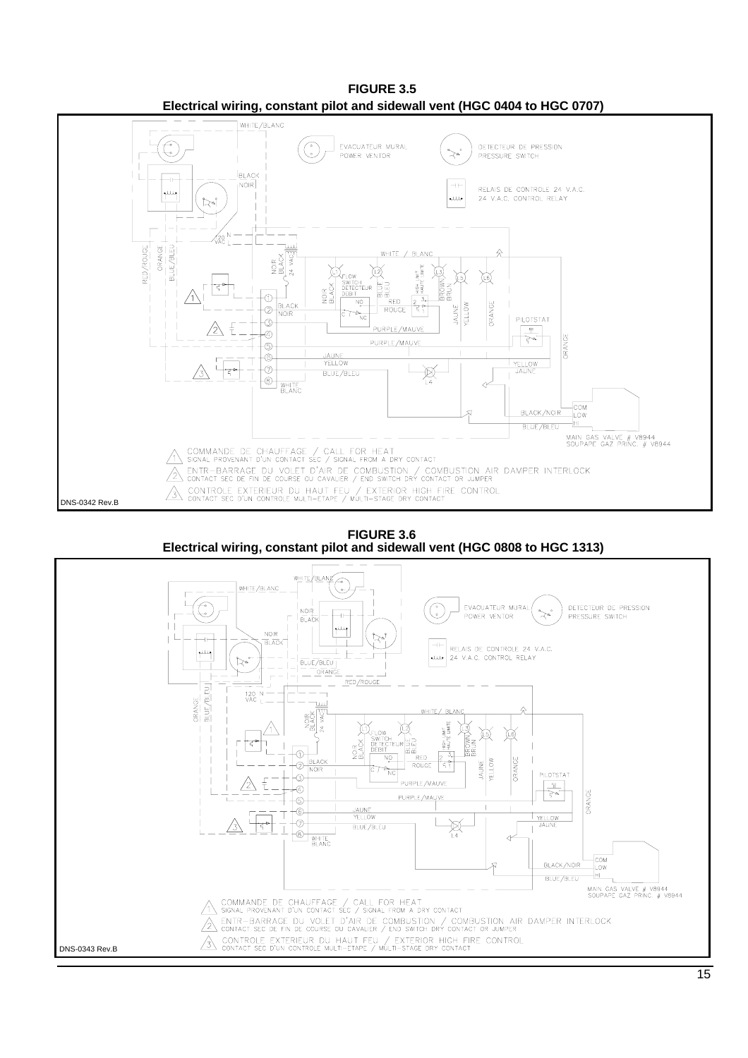

**FIGURE 3.5 Electrical wiring, constant pilot and sidewall vent (HGC 0404 to HGC 0707)**

**FIGURE 3.6 Electrical wiring, constant pilot and sidewall vent (HGC 0808 to HGC 1313)**

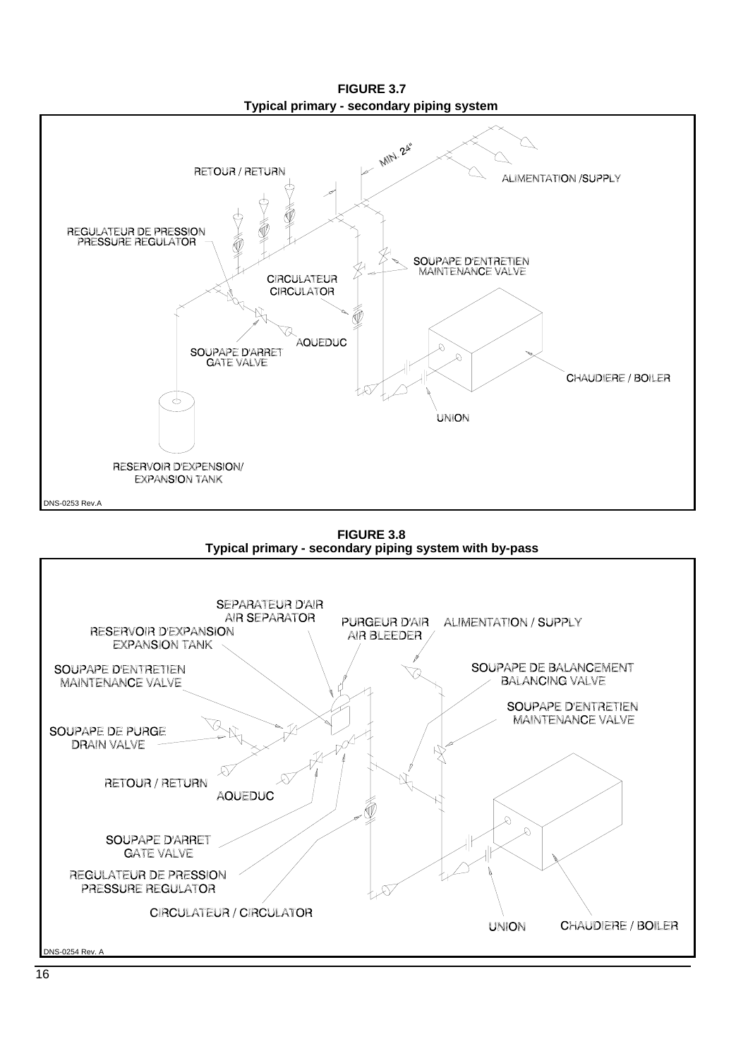**FIGURE 3.7 Typical primary - secondary piping system**



**FIGURE 3.8 Typical primary - secondary piping system with by-pass**

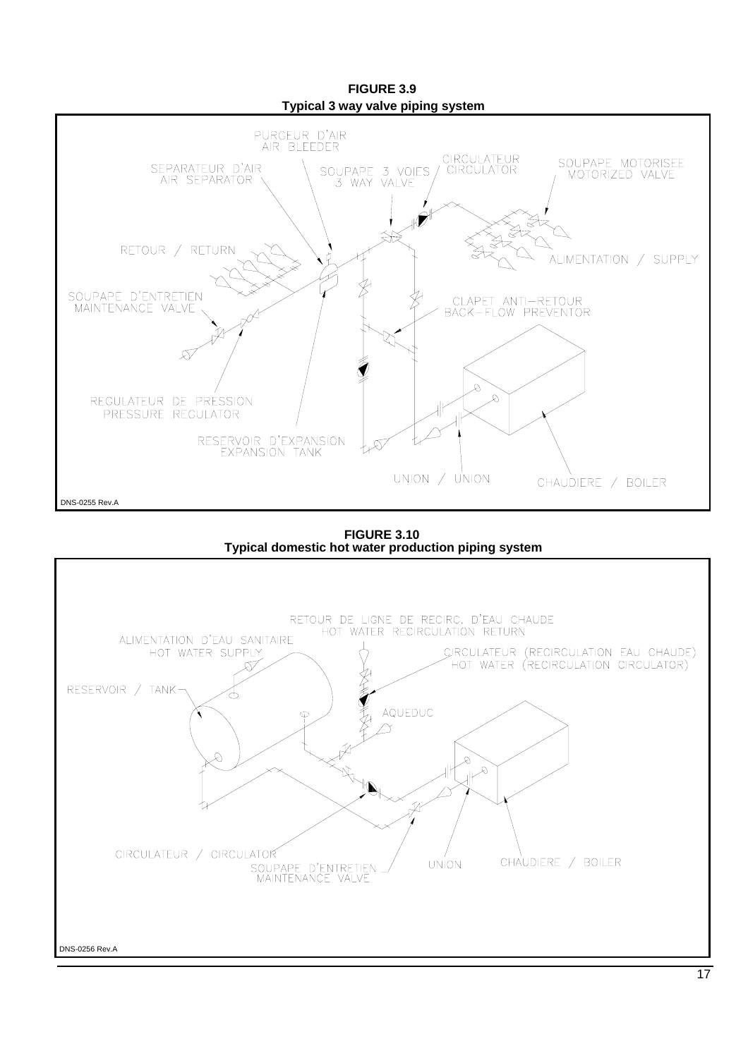

**FIGURE 3.10 Typical domestic hot water production piping system**

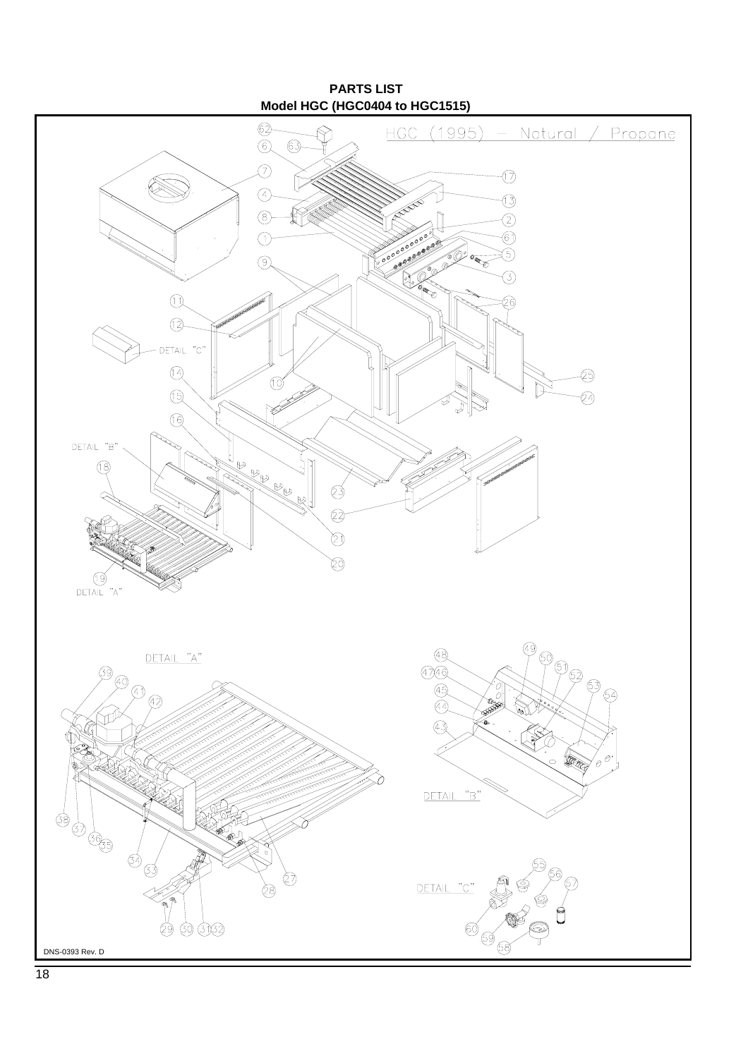**PARTS LIST Model HGC (HGC0404 to HGC1515)**

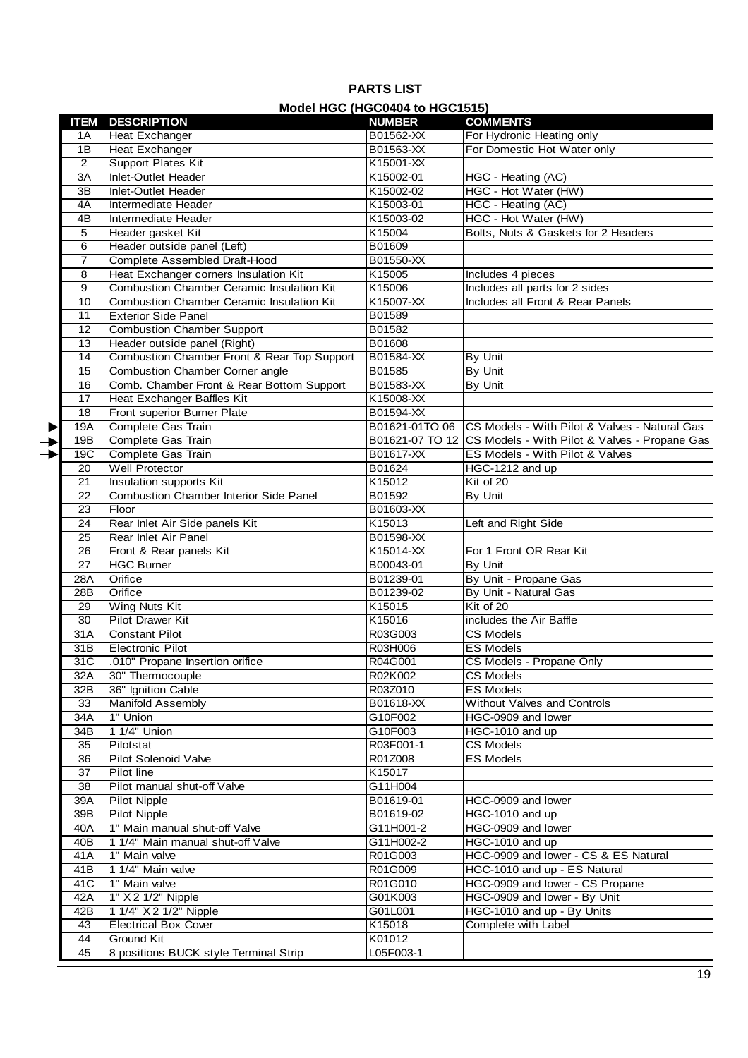# **PARTS LIST Model HGC (HGC0404 to HGC1515)**

|               | <b>ITEM</b>     | <b>MOULLING (TROUGHOM TO LIGO ISTS)</b><br><b>DESCRIPTION</b> | <b>COMMENTS</b>            |                                                               |  |  |
|---------------|-----------------|---------------------------------------------------------------|----------------------------|---------------------------------------------------------------|--|--|
|               | 1A              | <b>Heat Exchanger</b>                                         | <b>NUMBER</b><br>B01562-XX | For Hydronic Heating only                                     |  |  |
|               | 1B              | <b>Heat Exchanger</b>                                         | B01563-XX                  | For Domestic Hot Water only                                   |  |  |
|               | 2               | Support Plates Kit                                            | K15001-XX                  |                                                               |  |  |
|               | 3A              | Inlet-Outlet Header                                           | K15002-01                  | HGC - Heating (AC)                                            |  |  |
|               | 3B              | Inlet-Outlet Header                                           | K15002-02                  | HGC - Hot Water (HW)                                          |  |  |
|               | 4A              | Intermediate Header                                           | K15003-01                  | HGC - Heating (AC)                                            |  |  |
|               | 4B              | Intermediate Header                                           | K15003-02                  | HGC - Hot Water (HW)                                          |  |  |
|               | 5               | Header gasket Kit                                             | K15004                     | Bolts, Nuts & Gaskets for 2 Headers                           |  |  |
|               | 6               | Header outside panel (Left)                                   | B01609                     |                                                               |  |  |
|               | $\overline{7}$  | Complete Assembled Draft-Hood                                 | B01550-XX                  |                                                               |  |  |
|               | 8               | Heat Exchanger corners Insulation Kit                         | K15005                     | Includes 4 pieces                                             |  |  |
|               | 9               | <b>Combustion Chamber Ceramic Insulation Kit</b>              | K15006                     | Includes all parts for 2 sides                                |  |  |
|               | 10              | <b>Combustion Chamber Ceramic Insulation Kit</b>              | K15007-XX                  | Includes all Front & Rear Panels                              |  |  |
|               | 11              | <b>Exterior Side Panel</b>                                    | B01589                     |                                                               |  |  |
|               | 12              | <b>Combustion Chamber Support</b>                             | B01582                     |                                                               |  |  |
|               | 13              | Header outside panel (Right)                                  | B01608                     |                                                               |  |  |
|               | 14              | Combustion Chamber Front & Rear Top Support                   | B01584-XX                  | By Unit                                                       |  |  |
|               | 15              | <b>Combustion Chamber Corner angle</b>                        | B01585                     | By Unit                                                       |  |  |
|               | 16              | Comb. Chamber Front & Rear Bottom Support                     | B01583-XX                  | By Unit                                                       |  |  |
|               | 17              | Heat Exchanger Baffles Kit                                    | K15008-XX                  |                                                               |  |  |
|               | 18              | Front superior Burner Plate                                   | B01594-XX                  |                                                               |  |  |
| $\rightarrow$ | 19A             | Complete Gas Train                                            | B01621-01TO 06             | CS Models - With Pilot & Valves - Natural Gas                 |  |  |
| →             | 19B             | Complete Gas Train                                            |                            | B01621-07 TO 12 CS Models - With Pilot & Valves - Propane Gas |  |  |
|               | 19C             | Complete Gas Train                                            | B01617-XX                  | ES Models - With Pilot & Valves                               |  |  |
|               | 20              | <b>Well Protector</b>                                         | B01624                     | HGC-1212 and up                                               |  |  |
|               | 21              | Insulation supports Kit                                       | K15012                     | Kit of 20                                                     |  |  |
|               | $\overline{22}$ | <b>Combustion Chamber Interior Side Panel</b>                 | B01592                     | By Unit                                                       |  |  |
|               | 23              | Floor                                                         | B01603-XX                  |                                                               |  |  |
|               | 24              | Rear Inlet Air Side panels Kit                                | K15013                     | Left and Right Side                                           |  |  |
|               | $\overline{25}$ | Rear Inlet Air Panel                                          | B01598-XX                  |                                                               |  |  |
|               | 26              | Front & Rear panels Kit                                       | K15014-XX                  | For 1 Front OR Rear Kit                                       |  |  |
|               | 27              | <b>HGC Burner</b>                                             | B00043-01                  | By Unit                                                       |  |  |
|               | 28A             | Orifice                                                       | B01239-01                  | By Unit - Propane Gas                                         |  |  |
|               | 28B             | Orifice                                                       | B01239-02                  | By Unit - Natural Gas                                         |  |  |
|               | 29              | <b>Wing Nuts Kit</b>                                          | K15015                     | Kit of 20                                                     |  |  |
|               | 30              | <b>Pilot Drawer Kit</b>                                       | K15016                     | includes the Air Baffle                                       |  |  |
|               | 31A             | <b>Constant Pilot</b>                                         | R03G003                    | CS Models                                                     |  |  |
|               | 31B             | <b>Electronic Pilot</b>                                       | R03H006                    | <b>ES Models</b>                                              |  |  |
|               | 31C             | .010" Propane Insertion orifice                               | R04G001                    | CS Models - Propane Only                                      |  |  |
|               | 32A             | 30" Thermocouple                                              | R02K002                    | <b>CS Models</b>                                              |  |  |
|               | 32B             | 36" Ignition Cable                                            | R03Z010                    | <b>ES Models</b>                                              |  |  |
|               | 33              | <b>Manifold Assembly</b>                                      | B01618-XX                  | Without Valves and Controls                                   |  |  |
|               | 34A             | 1" Union                                                      | G10F002                    | HGC-0909 and lower                                            |  |  |
|               | 34B             | 1 1/4" Union                                                  | G10F003                    | HGC-1010 and up                                               |  |  |
|               | 35              | Pilotstat                                                     | R03F001-1                  | <b>CS Models</b>                                              |  |  |
|               | 36              | Pilot Solenoid Valve                                          | R01Z008                    | <b>ES Models</b>                                              |  |  |
|               | 37              | Pilot line                                                    | K15017                     |                                                               |  |  |
|               | 38              | Pilot manual shut-off Valve                                   | G11H004                    |                                                               |  |  |
|               | 39A             | <b>Pilot Nipple</b>                                           | B01619-01                  | HGC-0909 and lower                                            |  |  |
|               | 39B             | <b>Pilot Nipple</b>                                           | B01619-02                  | HGC-1010 and up                                               |  |  |
|               | 40A             | 1" Main manual shut-off Valve                                 | G11H001-2                  | HGC-0909 and lower                                            |  |  |
|               | 40B             | 1 1/4" Main manual shut-off Valve                             | G11H002-2                  | HGC-1010 and up                                               |  |  |
|               | 41A             | 1" Main valve                                                 | R01G003                    | HGC-0909 and lower - CS & ES Natural                          |  |  |
|               | 41B             | 1 1/4" Main valve                                             | R01G009                    | HGC-1010 and up - ES Natural                                  |  |  |
|               | 41C             | 1" Main valve                                                 | R01G010                    | HGC-0909 and lower - CS Propane                               |  |  |
|               | 42A             | 1" X 2 1/2" Nipple                                            | G01K003                    | HGC-0909 and lower - By Unit                                  |  |  |
|               | 42B             | 1 1/4" X 2 1/2" Nipple                                        | G01L001                    | HGC-1010 and up - By Units                                    |  |  |
|               | 43              | <b>Electrical Box Cover</b>                                   | K15018                     | Complete with Label                                           |  |  |
|               | 44              | Ground Kit                                                    | K01012                     |                                                               |  |  |
|               | 45              | 8 positions BUCK style Terminal Strip                         | L05F003-1                  |                                                               |  |  |